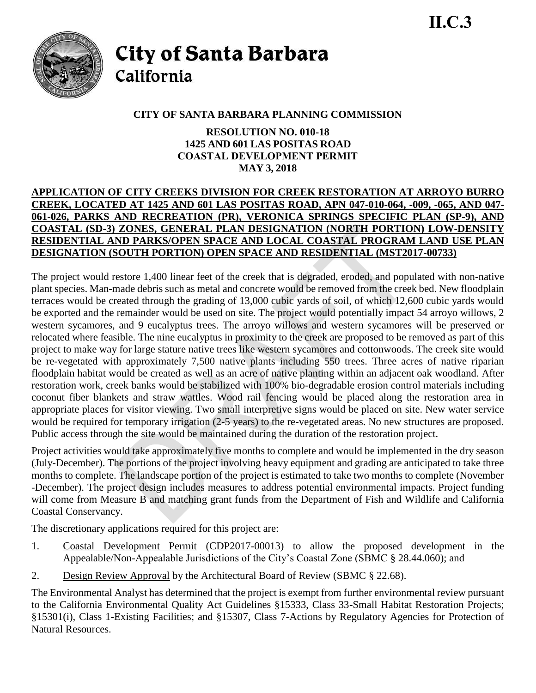

**City of Santa Barbara** California

# **CITY OF SANTA BARBARA PLANNING COMMISSION**

**RESOLUTION NO. 010-18 1425 AND 601 LAS POSITAS ROAD COASTAL DEVELOPMENT PERMIT MAY 3, 2018**

### **APPLICATION OF CITY CREEKS DIVISION FOR CREEK RESTORATION AT ARROYO BURRO CREEK, LOCATED AT 1425 AND 601 LAS POSITAS ROAD, APN 047-010-064, -009, -065, AND 047- 061-026, PARKS AND RECREATION (PR), VERONICA SPRINGS SPECIFIC PLAN (SP-9), AND COASTAL (SD-3) ZONES, GENERAL PLAN DESIGNATION (NORTH PORTION) LOW-DENSITY RESIDENTIAL AND PARKS/OPEN SPACE AND LOCAL COASTAL PROGRAM LAND USE PLAN DESIGNATION (SOUTH PORTION) OPEN SPACE AND RESIDENTIAL (MST2017-00733)**

The project would restore 1,400 linear feet of the creek that is degraded, eroded, and populated with non-native plant species. Man-made debris such as metal and concrete would be removed from the creek bed. New floodplain terraces would be created through the grading of 13,000 cubic yards of soil, of which 12,600 cubic yards would be exported and the remainder would be used on site. The project would potentially impact 54 arroyo willows, 2 western sycamores, and 9 eucalyptus trees. The arroyo willows and western sycamores will be preserved or relocated where feasible. The nine eucalyptus in proximity to the creek are proposed to be removed as part of this project to make way for large stature native trees like western sycamores and cottonwoods. The creek site would be re-vegetated with approximately 7,500 native plants including 550 trees. Three acres of native riparian floodplain habitat would be created as well as an acre of native planting within an adjacent oak woodland. After restoration work, creek banks would be stabilized with 100% bio-degradable erosion control materials including coconut fiber blankets and straw wattles. Wood rail fencing would be placed along the restoration area in appropriate places for visitor viewing. Two small interpretive signs would be placed on site. New water service would be required for temporary irrigation (2-5 years) to the re-vegetated areas. No new structures are proposed. Public access through the site would be maintained during the duration of the restoration project.

Project activities would take approximately five months to complete and would be implemented in the dry season (July-December). The portions of the project involving heavy equipment and grading are anticipated to take three months to complete. The landscape portion of the project is estimated to take two months to complete (November -December). The project design includes measures to address potential environmental impacts. Project funding will come from Measure B and matching grant funds from the Department of Fish and Wildlife and California Coastal Conservancy.

The discretionary applications required for this project are:

- 1. Coastal Development Permit (CDP2017-00013) to allow the proposed development in the Appealable/Non-Appealable Jurisdictions of the City's Coastal Zone (SBMC § 28.44.060); and
- 2. Design Review Approval by the Architectural Board of Review (SBMC § 22.68).

The Environmental Analyst has determined that the project is exempt from further environmental review pursuant to the California Environmental Quality Act Guidelines §15333, Class 33-Small Habitat Restoration Projects; §15301(i), Class 1-Existing Facilities; and §15307, Class 7-Actions by Regulatory Agencies for Protection of Natural Resources.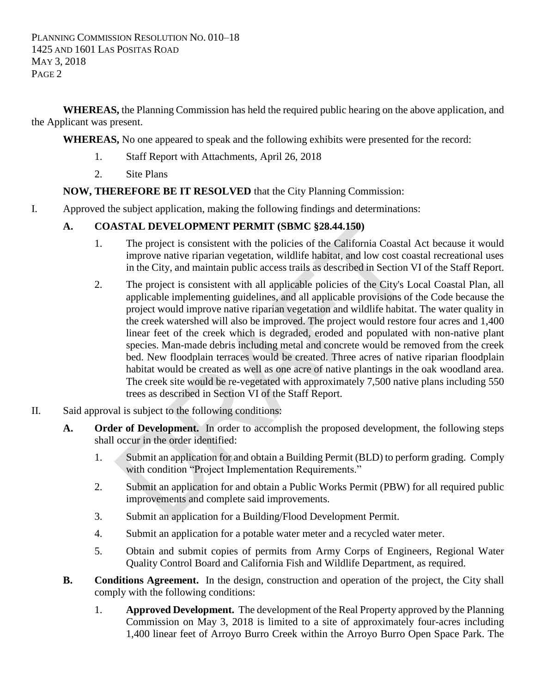**WHEREAS,** the Planning Commission has held the required public hearing on the above application, and the Applicant was present.

**WHEREAS,** No one appeared to speak and the following exhibits were presented for the record:

- 1. Staff Report with Attachments, April 26, 2018
- 2. Site Plans

## **NOW, THEREFORE BE IT RESOLVED** that the City Planning Commission:

I. Approved the subject application, making the following findings and determinations:

# **A. COASTAL DEVELOPMENT PERMIT (SBMC §28.44.150)**

- 1. The project is consistent with the policies of the California Coastal Act because it would improve native riparian vegetation, wildlife habitat, and low cost coastal recreational uses in the City, and maintain public access trails as described in Section VI of the Staff Report.
- 2. The project is consistent with all applicable policies of the City's Local Coastal Plan, all applicable implementing guidelines, and all applicable provisions of the Code because the project would improve native riparian vegetation and wildlife habitat. The water quality in the creek watershed will also be improved. The project would restore four acres and 1,400 linear feet of the creek which is degraded, eroded and populated with non-native plant species. Man-made debris including metal and concrete would be removed from the creek bed. New floodplain terraces would be created. Three acres of native riparian floodplain habitat would be created as well as one acre of native plantings in the oak woodland area. The creek site would be re-vegetated with approximately 7,500 native plans including 550 trees as described in Section VI of the Staff Report.
- II. Said approval is subject to the following conditions:
	- **A. Order of Development.** In order to accomplish the proposed development, the following steps shall occur in the order identified:
		- 1. Submit an application for and obtain a Building Permit (BLD) to perform grading. Comply with condition "Project Implementation Requirements."
		- 2. Submit an application for and obtain a Public Works Permit (PBW) for all required public improvements and complete said improvements.
		- 3. Submit an application for a Building/Flood Development Permit.
		- 4. Submit an application for a potable water meter and a recycled water meter.
		- 5. Obtain and submit copies of permits from Army Corps of Engineers, Regional Water Quality Control Board and California Fish and Wildlife Department, as required.
	- **B. Conditions Agreement.** In the design, construction and operation of the project, the City shall comply with the following conditions:
		- 1. **Approved Development.** The development of the Real Property approved by the Planning Commission on May 3, 2018 is limited to a site of approximately four-acres including 1,400 linear feet of Arroyo Burro Creek within the Arroyo Burro Open Space Park. The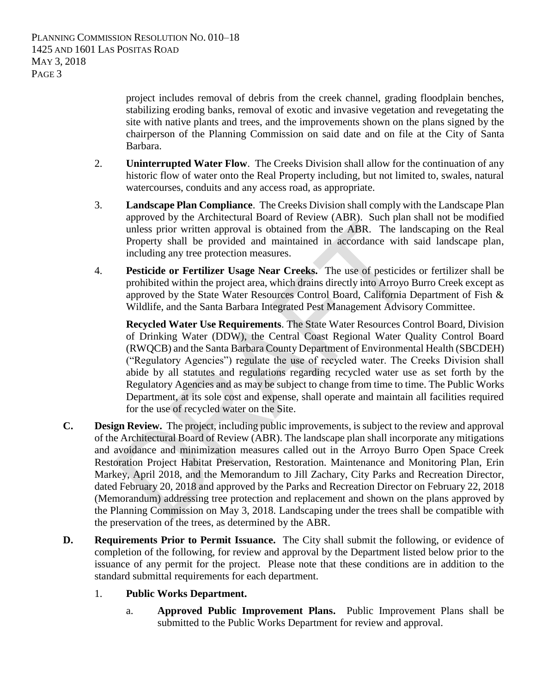project includes removal of debris from the creek channel, grading floodplain benches, stabilizing eroding banks, removal of exotic and invasive vegetation and revegetating the site with native plants and trees, and the improvements shown on the plans signed by the chairperson of the Planning Commission on said date and on file at the City of Santa Barbara.

- 2. **Uninterrupted Water Flow**. The Creeks Division shall allow for the continuation of any historic flow of water onto the Real Property including, but not limited to, swales, natural watercourses, conduits and any access road, as appropriate.
- 3. **Landscape Plan Compliance**. The Creeks Division shall comply with the Landscape Plan approved by the Architectural Board of Review (ABR). Such plan shall not be modified unless prior written approval is obtained from the ABR. The landscaping on the Real Property shall be provided and maintained in accordance with said landscape plan, including any tree protection measures.
- 4. **Pesticide or Fertilizer Usage Near Creeks.** The use of pesticides or fertilizer shall be prohibited within the project area, which drains directly into Arroyo Burro Creek except as approved by the State Water Resources Control Board, California Department of Fish & Wildlife, and the Santa Barbara Integrated Pest Management Advisory Committee.

**Recycled Water Use Requirements**. The State Water Resources Control Board, Division of Drinking Water (DDW), the Central Coast Regional Water Quality Control Board (RWQCB) and the Santa Barbara County Department of Environmental Health (SBCDEH) ("Regulatory Agencies") regulate the use of recycled water. The Creeks Division shall abide by all statutes and regulations regarding recycled water use as set forth by the Regulatory Agencies and as may be subject to change from time to time. The Public Works Department, at its sole cost and expense, shall operate and maintain all facilities required for the use of recycled water on the Site.

- **C. Design Review.** The project, including public improvements, is subject to the review and approval of the Architectural Board of Review (ABR). The landscape plan shall incorporate any mitigations and avoidance and minimization measures called out in the Arroyo Burro Open Space Creek Restoration Project Habitat Preservation, Restoration. Maintenance and Monitoring Plan, Erin Markey, April 2018, and the Memorandum to Jill Zachary, City Parks and Recreation Director, dated February 20, 2018 and approved by the Parks and Recreation Director on February 22, 2018 (Memorandum) addressing tree protection and replacement and shown on the plans approved by the Planning Commission on May 3, 2018. Landscaping under the trees shall be compatible with the preservation of the trees, as determined by the ABR.
- **D. Requirements Prior to Permit Issuance.** The City shall submit the following, or evidence of completion of the following, for review and approval by the Department listed below prior to the issuance of any permit for the project. Please note that these conditions are in addition to the standard submittal requirements for each department.
	- 1. **Public Works Department.**
		- a. **Approved Public Improvement Plans.** Public Improvement Plans shall be submitted to the Public Works Department for review and approval.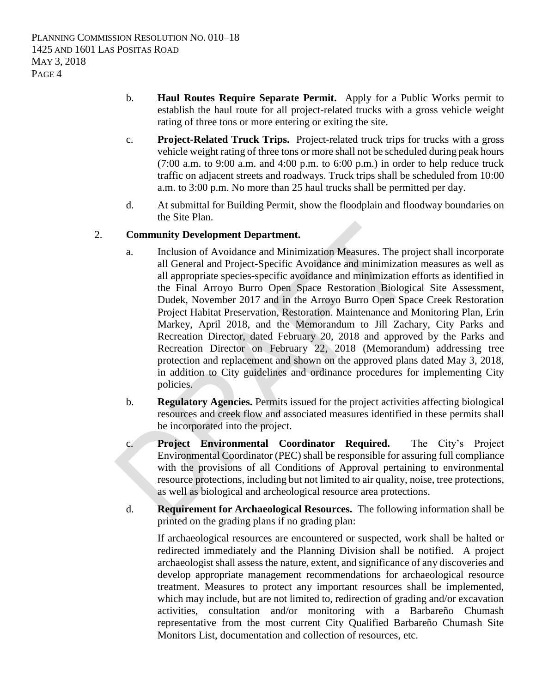- b. **Haul Routes Require Separate Permit.** Apply for a Public Works permit to establish the haul route for all project-related trucks with a gross vehicle weight rating of three tons or more entering or exiting the site.
- c. **Project-Related Truck Trips.** Project-related truck trips for trucks with a gross vehicle weight rating of three tons or more shall not be scheduled during peak hours  $(7:00$  a.m. to  $9:00$  a.m. and  $4:00$  p.m. to  $6:00$  p.m.) in order to help reduce truck traffic on adjacent streets and roadways. Truck trips shall be scheduled from 10:00 a.m. to 3:00 p.m. No more than 25 haul trucks shall be permitted per day.
- d. At submittal for Building Permit, show the floodplain and floodway boundaries on the Site Plan.

#### 2. **Community Development Department.**

- a. Inclusion of Avoidance and Minimization Measures. The project shall incorporate all General and Project-Specific Avoidance and minimization measures as well as all appropriate species-specific avoidance and minimization efforts as identified in the Final Arroyo Burro Open Space Restoration Biological Site Assessment, Dudek, November 2017 and in the Arroyo Burro Open Space Creek Restoration Project Habitat Preservation, Restoration. Maintenance and Monitoring Plan, Erin Markey, April 2018, and the Memorandum to Jill Zachary, City Parks and Recreation Director, dated February 20, 2018 and approved by the Parks and Recreation Director on February 22, 2018 (Memorandum) addressing tree protection and replacement and shown on the approved plans dated May 3, 2018, in addition to City guidelines and ordinance procedures for implementing City policies.
- b. **Regulatory Agencies.** Permits issued for the project activities affecting biological resources and creek flow and associated measures identified in these permits shall be incorporated into the project.
- c. **Project Environmental Coordinator Required.** The City's Project Environmental Coordinator (PEC) shall be responsible for assuring full compliance with the provisions of all Conditions of Approval pertaining to environmental resource protections, including but not limited to air quality, noise, tree protections, as well as biological and archeological resource area protections.
- d. **Requirement for Archaeological Resources.** The following information shall be printed on the grading plans if no grading plan:

If archaeological resources are encountered or suspected, work shall be halted or redirected immediately and the Planning Division shall be notified. A project archaeologist shall assess the nature, extent, and significance of any discoveries and develop appropriate management recommendations for archaeological resource treatment. Measures to protect any important resources shall be implemented, which may include, but are not limited to, redirection of grading and/or excavation activities, consultation and/or monitoring with a Barbareño Chumash representative from the most current City Qualified Barbareño Chumash Site Monitors List, documentation and collection of resources, etc.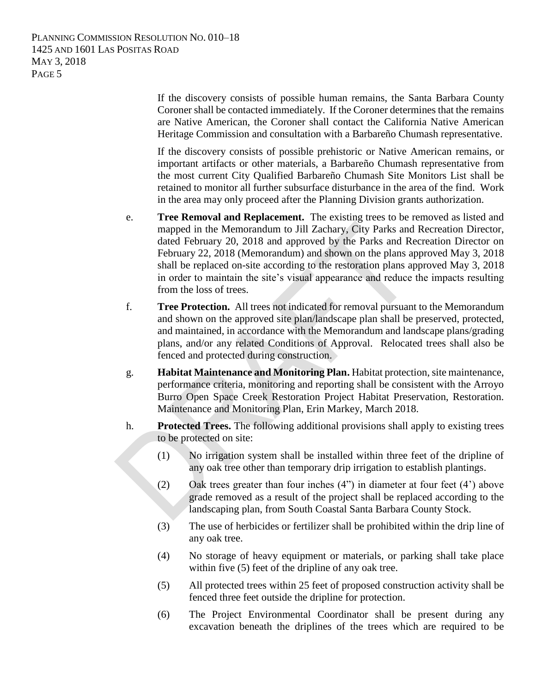> If the discovery consists of possible human remains, the Santa Barbara County Coroner shall be contacted immediately. If the Coroner determines that the remains are Native American, the Coroner shall contact the California Native American Heritage Commission and consultation with a Barbareño Chumash representative.

> If the discovery consists of possible prehistoric or Native American remains, or important artifacts or other materials, a Barbareño Chumash representative from the most current City Qualified Barbareño Chumash Site Monitors List shall be retained to monitor all further subsurface disturbance in the area of the find. Work in the area may only proceed after the Planning Division grants authorization.

- e. **Tree Removal and Replacement.** The existing trees to be removed as listed and mapped in the Memorandum to Jill Zachary, City Parks and Recreation Director, dated February 20, 2018 and approved by the Parks and Recreation Director on February 22, 2018 (Memorandum) and shown on the plans approved May 3, 2018 shall be replaced on-site according to the restoration plans approved May 3, 2018 in order to maintain the site's visual appearance and reduce the impacts resulting from the loss of trees.
- f. **Tree Protection.** All trees not indicated for removal pursuant to the Memorandum and shown on the approved site plan/landscape plan shall be preserved, protected, and maintained, in accordance with the Memorandum and landscape plans/grading plans, and/or any related Conditions of Approval. Relocated trees shall also be fenced and protected during construction.
- g. **Habitat Maintenance and Monitoring Plan.** Habitat protection, site maintenance, performance criteria, monitoring and reporting shall be consistent with the Arroyo Burro Open Space Creek Restoration Project Habitat Preservation, Restoration. Maintenance and Monitoring Plan, Erin Markey, March 2018.
- h. **Protected Trees.** The following additional provisions shall apply to existing trees to be protected on site:
	- (1) No irrigation system shall be installed within three feet of the dripline of any oak tree other than temporary drip irrigation to establish plantings.
	- (2) Oak trees greater than four inches (4") in diameter at four feet (4') above grade removed as a result of the project shall be replaced according to the landscaping plan, from South Coastal Santa Barbara County Stock.
	- (3) The use of herbicides or fertilizer shall be prohibited within the drip line of any oak tree.
	- (4) No storage of heavy equipment or materials, or parking shall take place within five (5) feet of the dripline of any oak tree.
	- (5) All protected trees within 25 feet of proposed construction activity shall be fenced three feet outside the dripline for protection.
	- (6) The Project Environmental Coordinator shall be present during any excavation beneath the driplines of the trees which are required to be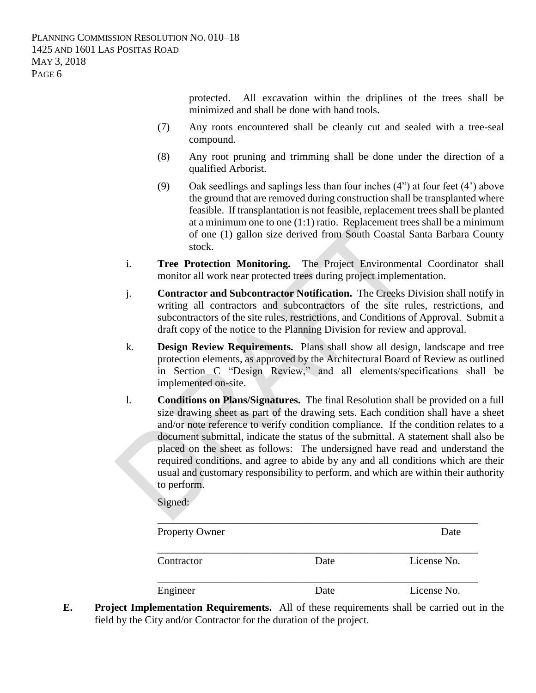protected. All excavation within the driplines of the trees shall be minimized and shall be done with hand tools.

- (7) Any roots encountered shall be cleanly cut and sealed with a tree-seal compound.
- (8) Any root pruning and trimming shall be done under the direction of a qualified Arborist.
- (9) Oak seedlings and saplings less than four inches (4") at four feet (4') above the ground that are removed during construction shall be transplanted where feasible. If transplantation is not feasible, replacement trees shall be planted at a minimum one to one (1:1) ratio. Replacement trees shall be a minimum of one (1) gallon size derived from South Coastal Santa Barbara County stock.
- i. **Tree Protection Monitoring.** The Project Environmental Coordinator shall monitor all work near protected trees during project implementation.
- j. **Contractor and Subcontractor Notification.** The Creeks Division shall notify in writing all contractors and subcontractors of the site rules, restrictions, and subcontractors of the site rules, restrictions, and Conditions of Approval. Submit a draft copy of the notice to the Planning Division for review and approval.
- k. **Design Review Requirements.** Plans shall show all design, landscape and tree protection elements, as approved by the Architectural Board of Review as outlined in Section C "Design Review," and all elements/specifications shall be implemented on-site.
- l. **Conditions on Plans/Signatures.** The final Resolution shall be provided on a full size drawing sheet as part of the drawing sets. Each condition shall have a sheet and/or note reference to verify condition compliance. If the condition relates to a document submittal, indicate the status of the submittal. A statement shall also be placed on the sheet as follows: The undersigned have read and understand the required conditions, and agree to abide by any and all conditions which are their usual and customary responsibility to perform, and which are within their authority to perform.

Signed:

| <b>Property Owner</b> |      | Date        |
|-----------------------|------|-------------|
| Contractor            | Date | License No. |
| Engineer              | Date | License No. |

**E. Project Implementation Requirements.** All of these requirements shall be carried out in the field by the City and/or Contractor for the duration of the project.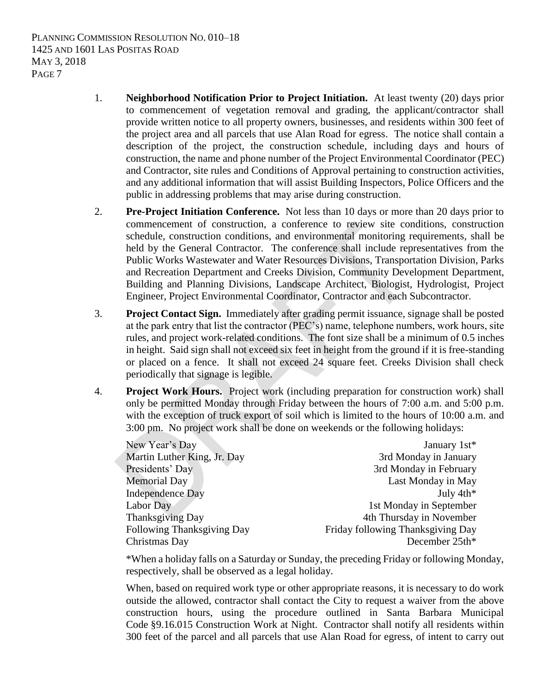- 1. **Neighborhood Notification Prior to Project Initiation.** At least twenty (20) days prior to commencement of vegetation removal and grading, the applicant/contractor shall provide written notice to all property owners, businesses, and residents within 300 feet of the project area and all parcels that use Alan Road for egress. The notice shall contain a description of the project, the construction schedule, including days and hours of construction, the name and phone number of the Project Environmental Coordinator (PEC) and Contractor, site rules and Conditions of Approval pertaining to construction activities, and any additional information that will assist Building Inspectors, Police Officers and the public in addressing problems that may arise during construction.
- 2. **Pre-Project Initiation Conference.** Not less than 10 days or more than 20 days prior to commencement of construction, a conference to review site conditions, construction schedule, construction conditions, and environmental monitoring requirements, shall be held by the General Contractor. The conference shall include representatives from the Public Works Wastewater and Water Resources Divisions, Transportation Division, Parks and Recreation Department and Creeks Division, Community Development Department, Building and Planning Divisions, Landscape Architect, Biologist, Hydrologist, Project Engineer, Project Environmental Coordinator, Contractor and each Subcontractor.
- 3. **Project Contact Sign.** Immediately after grading permit issuance, signage shall be posted at the park entry that list the contractor (PEC's) name, telephone numbers, work hours, site rules, and project work-related conditions. The font size shall be a minimum of 0.5 inches in height. Said sign shall not exceed six feet in height from the ground if it is free-standing or placed on a fence. It shall not exceed 24 square feet. Creeks Division shall check periodically that signage is legible.
- 4. **Project Work Hours.** Project work (including preparation for construction work) shall only be permitted Monday through Friday between the hours of 7:00 a.m. and 5:00 p.m. with the exception of truck export of soil which is limited to the hours of 10:00 a.m. and 3:00 pm. No project work shall be done on weekends or the following holidays:

| New Year's Day              | January 1st*                      |
|-----------------------------|-----------------------------------|
| Martin Luther King, Jr. Day | 3rd Monday in January             |
| Presidents' Day             | 3rd Monday in February            |
| <b>Memorial Day</b>         | Last Monday in May                |
| <b>Independence Day</b>     | July 4th*                         |
| Labor Day                   | 1st Monday in September           |
| <b>Thanksgiving Day</b>     | 4th Thursday in November          |
| Following Thanksgiving Day  | Friday following Thanksgiving Day |
| Christmas Day               | December 25th*                    |

\*When a holiday falls on a Saturday or Sunday, the preceding Friday or following Monday, respectively, shall be observed as a legal holiday.

When, based on required work type or other appropriate reasons, it is necessary to do work outside the allowed, contractor shall contact the City to request a waiver from the above construction hours, using the procedure outlined in Santa Barbara Municipal Code §9.16.015 Construction Work at Night. Contractor shall notify all residents within 300 feet of the parcel and all parcels that use Alan Road for egress, of intent to carry out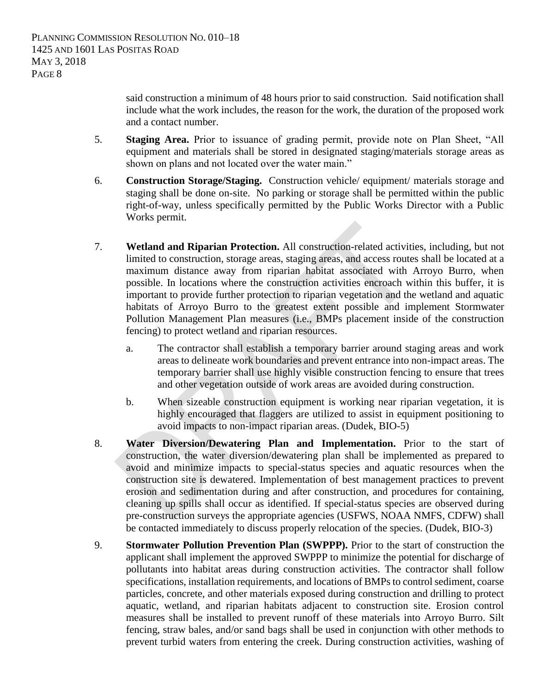said construction a minimum of 48 hours prior to said construction. Said notification shall include what the work includes, the reason for the work, the duration of the proposed work and a contact number.

- 5. **Staging Area.** Prior to issuance of grading permit, provide note on Plan Sheet, "All equipment and materials shall be stored in designated staging/materials storage areas as shown on plans and not located over the water main."
- 6. **Construction Storage/Staging.** Construction vehicle/ equipment/ materials storage and staging shall be done on-site. No parking or storage shall be permitted within the public right-of-way, unless specifically permitted by the Public Works Director with a Public Works permit.
- 7. **Wetland and Riparian Protection.** All construction-related activities, including, but not limited to construction, storage areas, staging areas, and access routes shall be located at a maximum distance away from riparian habitat associated with Arroyo Burro, when possible. In locations where the construction activities encroach within this buffer, it is important to provide further protection to riparian vegetation and the wetland and aquatic habitats of Arroyo Burro to the greatest extent possible and implement Stormwater Pollution Management Plan measures (i.e., BMPs placement inside of the construction fencing) to protect wetland and riparian resources.
	- a. The contractor shall establish a temporary barrier around staging areas and work areas to delineate work boundaries and prevent entrance into non-impact areas. The temporary barrier shall use highly visible construction fencing to ensure that trees and other vegetation outside of work areas are avoided during construction.
	- b. When sizeable construction equipment is working near riparian vegetation, it is highly encouraged that flaggers are utilized to assist in equipment positioning to avoid impacts to non-impact riparian areas. (Dudek, BIO-5)
- 8. **Water Diversion/Dewatering Plan and Implementation.** Prior to the start of construction, the water diversion/dewatering plan shall be implemented as prepared to avoid and minimize impacts to special-status species and aquatic resources when the construction site is dewatered. Implementation of best management practices to prevent erosion and sedimentation during and after construction, and procedures for containing, cleaning up spills shall occur as identified. If special-status species are observed during pre-construction surveys the appropriate agencies (USFWS, NOAA NMFS, CDFW) shall be contacted immediately to discuss properly relocation of the species. (Dudek, BIO-3)
- 9. **Stormwater Pollution Prevention Plan (SWPPP).** Prior to the start of construction the applicant shall implement the approved SWPPP to minimize the potential for discharge of pollutants into habitat areas during construction activities. The contractor shall follow specifications, installation requirements, and locations of BMPs to control sediment, coarse particles, concrete, and other materials exposed during construction and drilling to protect aquatic, wetland, and riparian habitats adjacent to construction site. Erosion control measures shall be installed to prevent runoff of these materials into Arroyo Burro. Silt fencing, straw bales, and/or sand bags shall be used in conjunction with other methods to prevent turbid waters from entering the creek. During construction activities, washing of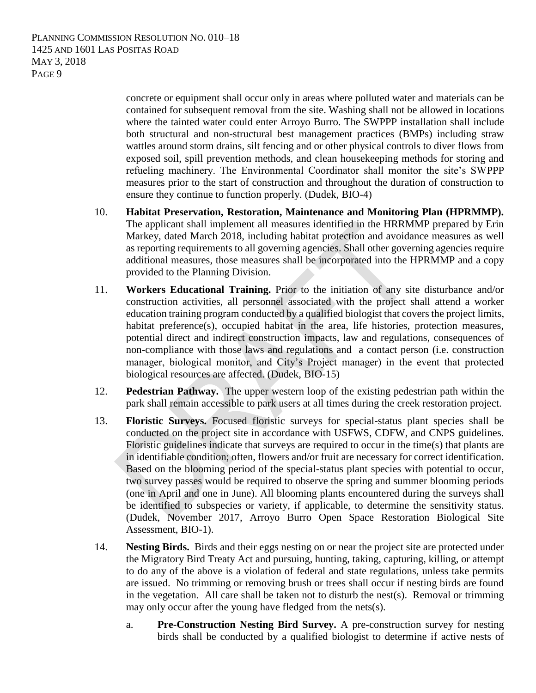> concrete or equipment shall occur only in areas where polluted water and materials can be contained for subsequent removal from the site. Washing shall not be allowed in locations where the tainted water could enter Arroyo Burro. The SWPPP installation shall include both structural and non-structural best management practices (BMPs) including straw wattles around storm drains, silt fencing and or other physical controls to diver flows from exposed soil, spill prevention methods, and clean housekeeping methods for storing and refueling machinery. The Environmental Coordinator shall monitor the site's SWPPP measures prior to the start of construction and throughout the duration of construction to ensure they continue to function properly. (Dudek, BIO-4)

- 10. **Habitat Preservation, Restoration, Maintenance and Monitoring Plan (HPRMMP).** The applicant shall implement all measures identified in the HRRMMP prepared by Erin Markey, dated March 2018, including habitat protection and avoidance measures as well as reporting requirements to all governing agencies. Shall other governing agencies require additional measures, those measures shall be incorporated into the HPRMMP and a copy provided to the Planning Division.
- 11. **Workers Educational Training.** Prior to the initiation of any site disturbance and/or construction activities, all personnel associated with the project shall attend a worker education training program conducted by a qualified biologist that covers the project limits, habitat preference(s), occupied habitat in the area, life histories, protection measures, potential direct and indirect construction impacts, law and regulations, consequences of non-compliance with those laws and regulations and a contact person (i.e. construction manager, biological monitor, and City's Project manager) in the event that protected biological resources are affected. (Dudek, BIO-15)
- 12. **Pedestrian Pathway.** The upper western loop of the existing pedestrian path within the park shall remain accessible to park users at all times during the creek restoration project.
- 13. **Floristic Surveys.** Focused floristic surveys for special-status plant species shall be conducted on the project site in accordance with USFWS, CDFW, and CNPS guidelines. Floristic guidelines indicate that surveys are required to occur in the time(s) that plants are in identifiable condition; often, flowers and/or fruit are necessary for correct identification. Based on the blooming period of the special-status plant species with potential to occur, two survey passes would be required to observe the spring and summer blooming periods (one in April and one in June). All blooming plants encountered during the surveys shall be identified to subspecies or variety, if applicable, to determine the sensitivity status. (Dudek, November 2017, Arroyo Burro Open Space Restoration Biological Site Assessment, BIO-1).
- 14. **Nesting Birds.** Birds and their eggs nesting on or near the project site are protected under the Migratory Bird Treaty Act and pursuing, hunting, taking, capturing, killing, or attempt to do any of the above is a violation of federal and state regulations, unless take permits are issued. No trimming or removing brush or trees shall occur if nesting birds are found in the vegetation. All care shall be taken not to disturb the nest(s). Removal or trimming may only occur after the young have fledged from the nets(s).
	- a. **Pre-Construction Nesting Bird Survey.** A pre-construction survey for nesting birds shall be conducted by a qualified biologist to determine if active nests of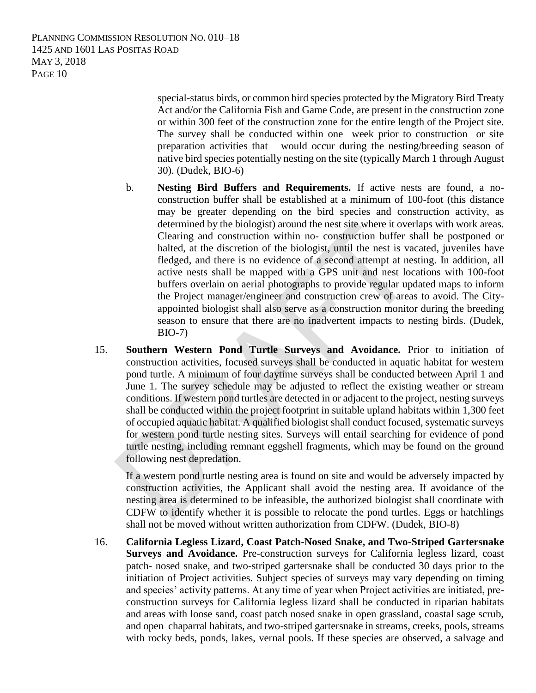> special-status birds, or common bird species protected by the Migratory Bird Treaty Act and/or the California Fish and Game Code, are present in the construction zone or within 300 feet of the construction zone for the entire length of the Project site. The survey shall be conducted within one week prior to construction or site preparation activities that would occur during the nesting/breeding season of native bird species potentially nesting on the site (typically March 1 through August 30). (Dudek, BIO-6)

- b. **Nesting Bird Buffers and Requirements.** If active nests are found, a noconstruction buffer shall be established at a minimum of 100-foot (this distance may be greater depending on the bird species and construction activity, as determined by the biologist) around the nest site where it overlaps with work areas. Clearing and construction within no- construction buffer shall be postponed or halted, at the discretion of the biologist, until the nest is vacated, juveniles have fledged, and there is no evidence of a second attempt at nesting. In addition, all active nests shall be mapped with a GPS unit and nest locations with 100-foot buffers overlain on aerial photographs to provide regular updated maps to inform the Project manager/engineer and construction crew of areas to avoid. The Cityappointed biologist shall also serve as a construction monitor during the breeding season to ensure that there are no inadvertent impacts to nesting birds. (Dudek, BIO-7)
- 15. **Southern Western Pond Turtle Surveys and Avoidance.** Prior to initiation of construction activities, focused surveys shall be conducted in aquatic habitat for western pond turtle. A minimum of four daytime surveys shall be conducted between April 1 and June 1. The survey schedule may be adjusted to reflect the existing weather or stream conditions. If western pond turtles are detected in or adjacent to the project, nesting surveys shall be conducted within the project footprint in suitable upland habitats within 1,300 feet of occupied aquatic habitat. A qualified biologist shall conduct focused, systematic surveys for western pond turtle nesting sites. Surveys will entail searching for evidence of pond turtle nesting, including remnant eggshell fragments, which may be found on the ground following nest depredation.

If a western pond turtle nesting area is found on site and would be adversely impacted by construction activities, the Applicant shall avoid the nesting area. If avoidance of the nesting area is determined to be infeasible, the authorized biologist shall coordinate with CDFW to identify whether it is possible to relocate the pond turtles. Eggs or hatchlings shall not be moved without written authorization from CDFW. (Dudek, BIO-8)

16. **California Legless Lizard, Coast Patch-Nosed Snake, and Two-Striped Gartersnake Surveys and Avoidance.** Pre-construction surveys for California legless lizard, coast patch- nosed snake, and two-striped gartersnake shall be conducted 30 days prior to the initiation of Project activities. Subject species of surveys may vary depending on timing and species' activity patterns. At any time of year when Project activities are initiated, preconstruction surveys for California legless lizard shall be conducted in riparian habitats and areas with loose sand, coast patch nosed snake in open grassland, coastal sage scrub, and open chaparral habitats, and two-striped gartersnake in streams, creeks, pools, streams with rocky beds, ponds, lakes, vernal pools. If these species are observed, a salvage and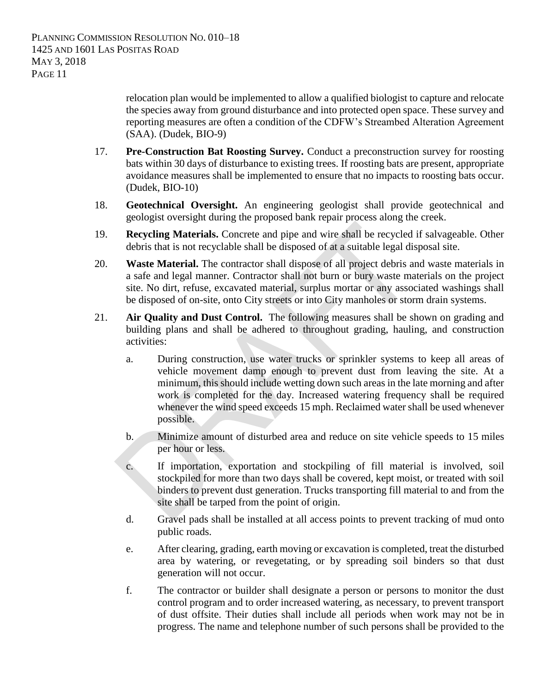relocation plan would be implemented to allow a qualified biologist to capture and relocate the species away from ground disturbance and into protected open space. These survey and reporting measures are often a condition of the CDFW's Streambed Alteration Agreement (SAA). (Dudek, BIO-9)

- 17. **Pre-Construction Bat Roosting Survey.** Conduct a preconstruction survey for roosting bats within 30 days of disturbance to existing trees. If roosting bats are present, appropriate avoidance measures shall be implemented to ensure that no impacts to roosting bats occur. (Dudek, BIO-10)
- 18. **Geotechnical Oversight.** An engineering geologist shall provide geotechnical and geologist oversight during the proposed bank repair process along the creek.
- 19. **Recycling Materials.** Concrete and pipe and wire shall be recycled if salvageable. Other debris that is not recyclable shall be disposed of at a suitable legal disposal site.
- 20. **Waste Material.** The contractor shall dispose of all project debris and waste materials in a safe and legal manner. Contractor shall not burn or bury waste materials on the project site. No dirt, refuse, excavated material, surplus mortar or any associated washings shall be disposed of on-site, onto City streets or into City manholes or storm drain systems.
- 21. **Air Quality and Dust Control.** The following measures shall be shown on grading and building plans and shall be adhered to throughout grading, hauling, and construction activities:
	- a. During construction, use water trucks or sprinkler systems to keep all areas of vehicle movement damp enough to prevent dust from leaving the site. At a minimum, this should include wetting down such areas in the late morning and after work is completed for the day. Increased watering frequency shall be required whenever the wind speed exceeds 15 mph. Reclaimed water shall be used whenever possible.
	- b. Minimize amount of disturbed area and reduce on site vehicle speeds to 15 miles per hour or less.
	- c. If importation, exportation and stockpiling of fill material is involved, soil stockpiled for more than two days shall be covered, kept moist, or treated with soil binders to prevent dust generation. Trucks transporting fill material to and from the site shall be tarped from the point of origin.
	- d. Gravel pads shall be installed at all access points to prevent tracking of mud onto public roads.
	- e. After clearing, grading, earth moving or excavation is completed, treat the disturbed area by watering, or revegetating, or by spreading soil binders so that dust generation will not occur.
	- f. The contractor or builder shall designate a person or persons to monitor the dust control program and to order increased watering, as necessary, to prevent transport of dust offsite. Their duties shall include all periods when work may not be in progress. The name and telephone number of such persons shall be provided to the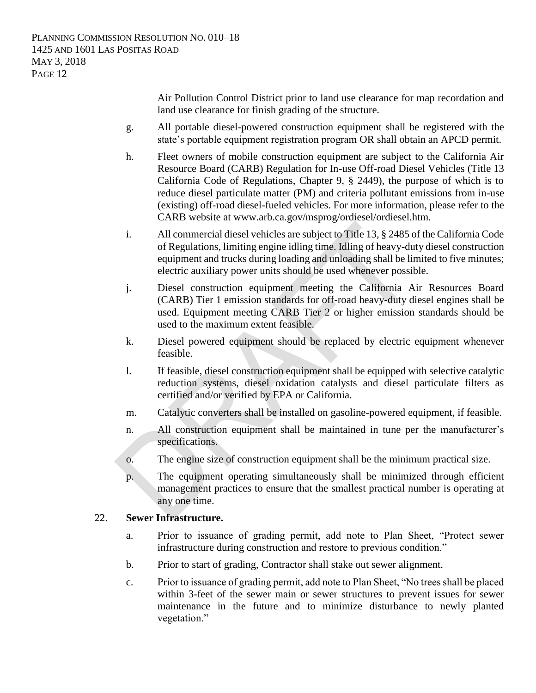Air Pollution Control District prior to land use clearance for map recordation and land use clearance for finish grading of the structure.

- g. All portable diesel-powered construction equipment shall be registered with the state's portable equipment registration program OR shall obtain an APCD permit.
- h. Fleet owners of mobile construction equipment are subject to the California Air Resource Board (CARB) Regulation for In-use Off-road Diesel Vehicles (Title 13 California Code of Regulations, Chapter 9, § 2449), the purpose of which is to reduce diesel particulate matter (PM) and criteria pollutant emissions from in-use (existing) off-road diesel-fueled vehicles. For more information, please refer to the CARB website at www.arb.ca.gov/msprog/ordiesel/ordiesel.htm.
- i. All commercial diesel vehicles are subject to Title 13, § 2485 of the California Code of Regulations, limiting engine idling time. Idling of heavy-duty diesel construction equipment and trucks during loading and unloading shall be limited to five minutes; electric auxiliary power units should be used whenever possible.
- j. Diesel construction equipment meeting the California Air Resources Board (CARB) Tier 1 emission standards for off-road heavy-duty diesel engines shall be used. Equipment meeting CARB Tier 2 or higher emission standards should be used to the maximum extent feasible.
- k. Diesel powered equipment should be replaced by electric equipment whenever feasible.
- l. If feasible, diesel construction equipment shall be equipped with selective catalytic reduction systems, diesel oxidation catalysts and diesel particulate filters as certified and/or verified by EPA or California.
- m. Catalytic converters shall be installed on gasoline-powered equipment, if feasible.
- n. All construction equipment shall be maintained in tune per the manufacturer's specifications.
- o. The engine size of construction equipment shall be the minimum practical size.
- p. The equipment operating simultaneously shall be minimized through efficient management practices to ensure that the smallest practical number is operating at any one time.

#### 22. **Sewer Infrastructure.**

- a. Prior to issuance of grading permit, add note to Plan Sheet, "Protect sewer infrastructure during construction and restore to previous condition."
- b. Prior to start of grading, Contractor shall stake out sewer alignment.
- c. Prior to issuance of grading permit, add note to Plan Sheet, "No trees shall be placed within 3-feet of the sewer main or sewer structures to prevent issues for sewer maintenance in the future and to minimize disturbance to newly planted vegetation."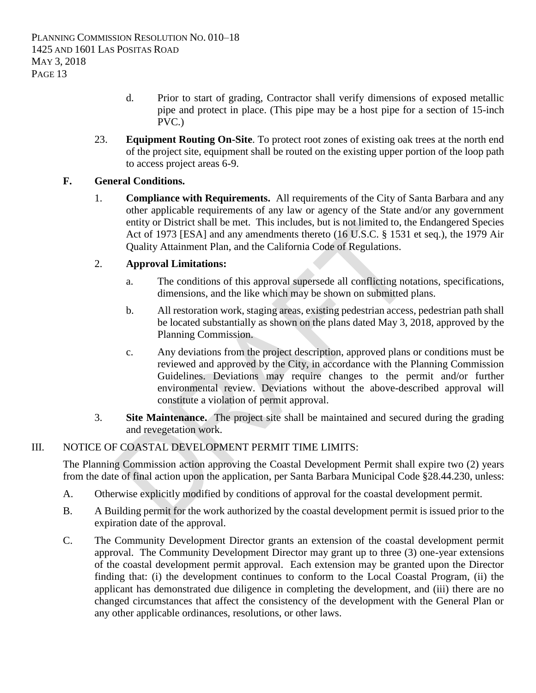- d. Prior to start of grading, Contractor shall verify dimensions of exposed metallic pipe and protect in place. (This pipe may be a host pipe for a section of 15-inch PVC.)
- 23. **Equipment Routing On-Site**. To protect root zones of existing oak trees at the north end of the project site, equipment shall be routed on the existing upper portion of the loop path to access project areas 6-9.

## **F. General Conditions.**

1. **Compliance with Requirements.** All requirements of the City of Santa Barbara and any other applicable requirements of any law or agency of the State and/or any government entity or District shall be met. This includes, but is not limited to, the Endangered Species Act of 1973 [ESA] and any amendments thereto (16 U.S.C. § 1531 et seq.), the 1979 Air Quality Attainment Plan, and the California Code of Regulations.

## 2. **Approval Limitations:**

- a. The conditions of this approval supersede all conflicting notations, specifications, dimensions, and the like which may be shown on submitted plans.
- b. All restoration work, staging areas, existing pedestrian access, pedestrian path shall be located substantially as shown on the plans dated May 3, 2018, approved by the Planning Commission.
- c. Any deviations from the project description, approved plans or conditions must be reviewed and approved by the City, in accordance with the Planning Commission Guidelines. Deviations may require changes to the permit and/or further environmental review. Deviations without the above-described approval will constitute a violation of permit approval.
- 3. **Site Maintenance.** The project site shall be maintained and secured during the grading and revegetation work.

### III. NOTICE OF COASTAL DEVELOPMENT PERMIT TIME LIMITS:

The Planning Commission action approving the Coastal Development Permit shall expire two (2) years from the date of final action upon the application, per Santa Barbara Municipal Code §28.44.230, unless:

- A. Otherwise explicitly modified by conditions of approval for the coastal development permit.
- B. A Building permit for the work authorized by the coastal development permit is issued prior to the expiration date of the approval.
- C. The Community Development Director grants an extension of the coastal development permit approval. The Community Development Director may grant up to three (3) one-year extensions of the coastal development permit approval. Each extension may be granted upon the Director finding that: (i) the development continues to conform to the Local Coastal Program, (ii) the applicant has demonstrated due diligence in completing the development, and (iii) there are no changed circumstances that affect the consistency of the development with the General Plan or any other applicable ordinances, resolutions, or other laws.